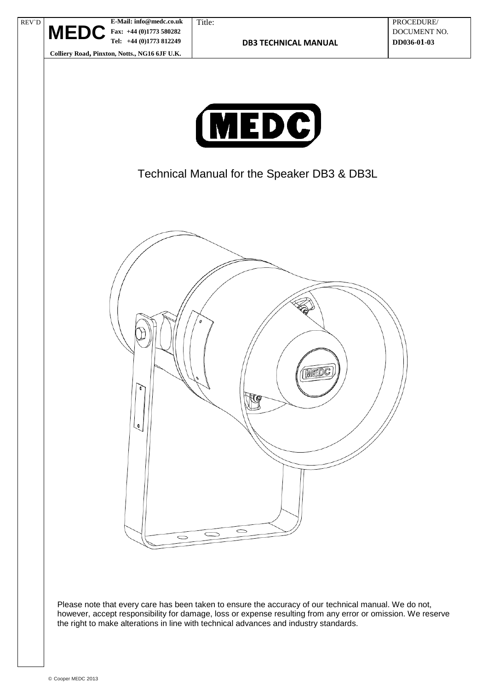



Technical Manual for the Speaker DB3 & DB3L



Please note that every care has been taken to ensure the accuracy of our technical manual. We do not, however, accept responsibility for damage, loss or expense resulting from any error or omission. We reserve the right to make alterations in line with technical advances and industry standards.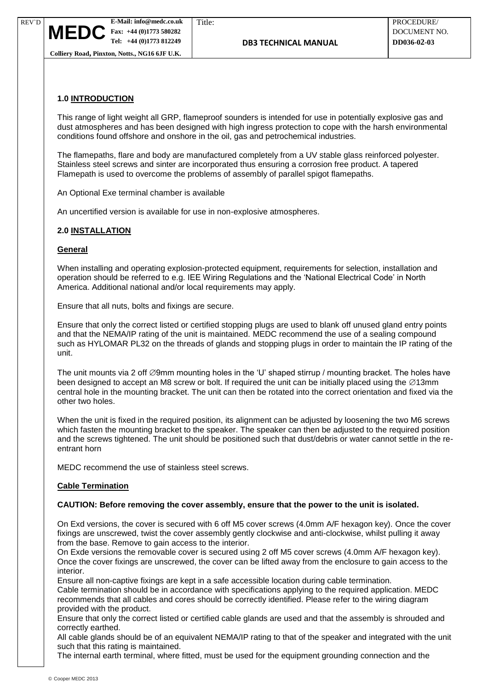# **1.0 INTRODUCTION**

This range of light weight all GRP, flameproof sounders is intended for use in potentially explosive gas and dust atmospheres and has been designed with high ingress protection to cope with the harsh environmental conditions found offshore and onshore in the oil, gas and petrochemical industries.

The flamepaths, flare and body are manufactured completely from a UV stable glass reinforced polyester. Stainless steel screws and sinter are incorporated thus ensuring a corrosion free product. A tapered Flamepath is used to overcome the problems of assembly of parallel spigot flamepaths.

An Optional Exe terminal chamber is available

An uncertified version is available for use in non-explosive atmospheres.

## **2.0 INSTALLATION**

#### **General**

When installing and operating explosion-protected equipment, requirements for selection, installation and operation should be referred to e.g. IEE Wiring Regulations and the 'National Electrical Code' in North America. Additional national and/or local requirements may apply.

Ensure that all nuts, bolts and fixings are secure.

Ensure that only the correct listed or certified stopping plugs are used to blank off unused gland entry points and that the NEMA/IP rating of the unit is maintained. MEDC recommend the use of a sealing compound such as HYLOMAR PL32 on the threads of glands and stopping plugs in order to maintain the IP rating of the unit.

The unit mounts via 2 off  $\varnothing$ 9mm mounting holes in the 'U' shaped stirrup / mounting bracket. The holes have been designed to accept an M8 screw or bolt. If required the unit can be initially placed using the  $\varnothing$ 13mm central hole in the mounting bracket. The unit can then be rotated into the correct orientation and fixed via the other two holes.

When the unit is fixed in the required position, its alignment can be adjusted by loosening the two M6 screws which fasten the mounting bracket to the speaker. The speaker can then be adjusted to the required position and the screws tightened. The unit should be positioned such that dust/debris or water cannot settle in the reentrant horn

MEDC recommend the use of stainless steel screws.

#### **Cable Termination**

#### **CAUTION: Before removing the cover assembly, ensure that the power to the unit is isolated.**

On Exd versions, the cover is secured with 6 off M5 cover screws (4.0mm A/F hexagon key). Once the cover fixings are unscrewed, twist the cover assembly gently clockwise and anti-clockwise, whilst pulling it away from the base. Remove to gain access to the interior.

On Exde versions the removable cover is secured using 2 off M5 cover screws (4.0mm A/F hexagon key). Once the cover fixings are unscrewed, the cover can be lifted away from the enclosure to gain access to the interior.

Ensure all non-captive fixings are kept in a safe accessible location during cable termination. Cable termination should be in accordance with specifications applying to the required application. MEDC recommends that all cables and cores should be correctly identified. Please refer to the wiring diagram provided with the product.

Ensure that only the correct listed or certified cable glands are used and that the assembly is shrouded and correctly earthed.

All cable glands should be of an equivalent NEMA/IP rating to that of the speaker and integrated with the unit such that this rating is maintained.

The internal earth terminal, where fitted, must be used for the equipment grounding connection and the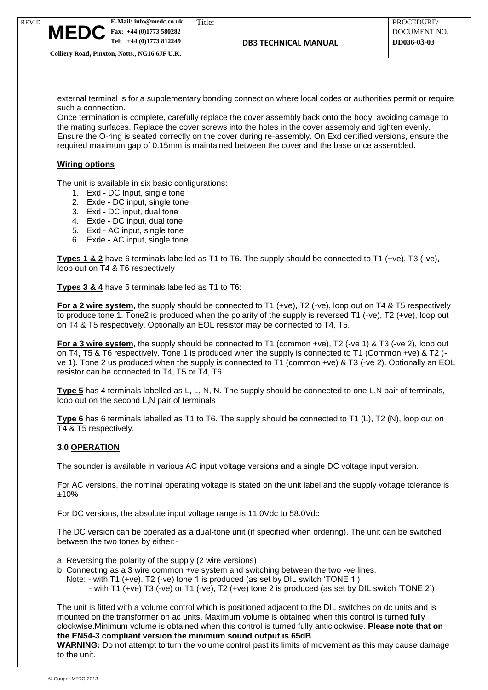external terminal is for a supplementary bonding connection where local codes or authorities permit or require such a connection.

Once termination is complete, carefully replace the cover assembly back onto the body, avoiding damage to the mating surfaces. Replace the cover screws into the holes in the cover assembly and tighten evenly. Ensure the O-ring is seated correctly on the cover during re-assembly. On Exd certified versions, ensure the required maximum gap of 0.15mm is maintained between the cover and the base once assembled.

# **Wiring options**

REV`D

The unit is available in six basic configurations:

- 1. Exd DC Input, single tone
- 2. Exde DC input, single tone
- 3. Exd DC input, dual tone
- 4. Exde DC input, dual tone
- 5. Exd AC input, single tone
- 6. Exde AC input, single tone

**Types 1 & 2** have 6 terminals labelled as T1 to T6. The supply should be connected to T1 (+ve), T3 (-ve), loop out on T4 & T6 respectively

**Types 3 & 4** have 6 terminals labelled as T1 to T6:

**For a 2 wire system**, the supply should be connected to T1 (+ve), T2 (-ve), loop out on T4 & T5 respectively to produce tone 1. Tone2 is produced when the polarity of the supply is reversed T1 (-ve), T2 (+ve), loop out on T4 & T5 respectively. Optionally an EOL resistor may be connected to T4, T5.

**For a 3 wire system**, the supply should be connected to T1 (common +ve), T2 (-ve 1) & T3 (-ve 2), loop out on T4, T5 & T6 respectively. Tone 1 is produced when the supply is connected to T1 (Common +ve) & T2 ( ve 1). Tone 2 us produced when the supply is connected to T1 (common +ve) & T3 (-ve 2). Optionally an EOL resistor can be connected to T4, T5 or T4, T6.

**Type 5** has 4 terminals labelled as L, L, N, N. The supply should be connected to one L,N pair of terminals, loop out on the second L,N pair of terminals

**Type 6** has 6 terminals labelled as T1 to T6. The supply should be connected to T1 (L), T2 (N), loop out on T4 & T5 respectively.

## **3.0 OPERATION**

The sounder is available in various AC input voltage versions and a single DC voltage input version.

For AC versions, the nominal operating voltage is stated on the unit label and the supply voltage tolerance is ±10%

For DC versions, the absolute input voltage range is 11.0Vdc to 58.0Vdc

The DC version can be operated as a dual-tone unit (if specified when ordering). The unit can be switched between the two tones by either:-

- a. Reversing the polarity of the supply (2 wire versions)
- b. Connecting as a 3 wire common +ve system and switching between the two -ve lines.
	- Note: with T1 (+ve), T2 (-ve) tone 1 is produced (as set by DIL switch 'TONE 1')
		- with T1 (+ve) T3 (-ve) or T1 (-ve), T2 (+ve) tone 2 is produced (as set by DIL switch 'TONE 2')

The unit is fitted with a volume control which is positioned adjacent to the DIL switches on dc units and is mounted on the transformer on ac units. Maximum volume is obtained when this control is turned fully clockwise.Minimum volume is obtained when this control is turned fully anticlockwise. **Please note that on the EN54-3 compliant version the minimum sound output is 65dB**

**WARNING:** Do not attempt to turn the volume control past its limits of movement as this may cause damage to the unit.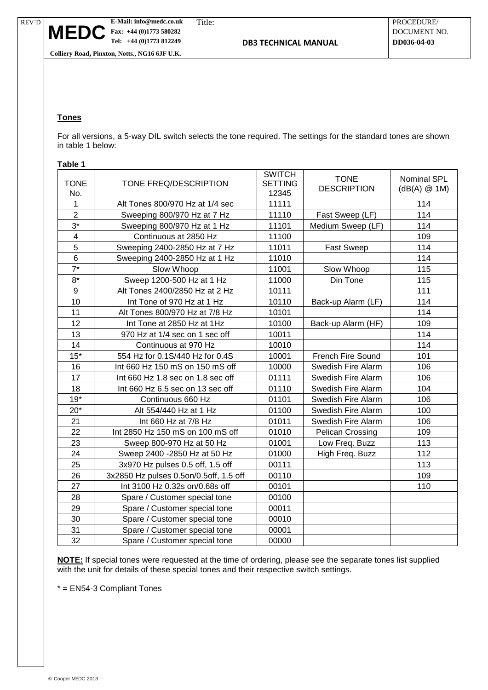

# **Tones**

For all versions, a 5-way DIL switch selects the tone required. The settings for the standard tones are shown in table 1 below:

#### **Table 1**

| <b>TONE</b><br>No.      | TONE FREQ/DESCRIPTION                  | <b>SWITCH</b><br><b>SETTING</b><br>12345 | <b>TONE</b><br><b>DESCRIPTION</b> | Nominal SPL<br>$(dB(A) \oslash 1M)$ |
|-------------------------|----------------------------------------|------------------------------------------|-----------------------------------|-------------------------------------|
| 1                       | Alt Tones 800/970 Hz at 1/4 sec        | 11111                                    |                                   | 114                                 |
| $\overline{2}$          | Sweeping 800/970 Hz at 7 Hz            | 11110                                    | Fast Sweep (LF)                   | 114                                 |
| $3^*$                   | Sweeping 800/970 Hz at 1 Hz            | 11101                                    | Medium Sweep (LF)                 | 114                                 |
| $\overline{\mathbf{4}}$ | Continuous at 2850 Hz                  | 11100                                    |                                   | 109                                 |
| 5                       | Sweeping 2400-2850 Hz at 7 Hz          | 11011                                    | <b>Fast Sweep</b>                 | 114                                 |
| 6                       | Sweeping 2400-2850 Hz at 1 Hz          | 11010                                    |                                   | 114                                 |
| $7^*$                   | Slow Whoop                             | 11001                                    | Slow Whoop                        | 115                                 |
| $8*$                    | Sweep 1200-500 Hz at 1 Hz              | 11000                                    | Din Tone                          | 115                                 |
| 9                       | Alt Tones 2400/2850 Hz at 2 Hz         | 10111                                    |                                   | 111                                 |
| 10                      | Int Tone of 970 Hz at 1 Hz             | 10110                                    | Back-up Alarm (LF)                | 114                                 |
| 11                      | Alt Tones 800/970 Hz at 7/8 Hz         | 10101                                    |                                   | 114                                 |
| 12                      | Int Tone at 2850 Hz at 1Hz             | 10100                                    | Back-up Alarm (HF)                | 109                                 |
| 13                      | 970 Hz at 1/4 sec on 1 sec off         | 10011                                    |                                   | 114                                 |
| 14                      | Continuous at 970 Hz                   | 10010                                    |                                   | 114                                 |
| $15*$                   | 554 Hz for 0.1S/440 Hz for 0.4S        | 10001                                    | <b>French Fire Sound</b>          | 101                                 |
| 16                      | Int 660 Hz 150 mS on 150 mS off        | 10000                                    | Swedish Fire Alarm                | 106                                 |
| 17                      | Int 660 Hz 1.8 sec on 1.8 sec off      | 01111                                    | Swedish Fire Alarm                | 106                                 |
| 18                      | Int 660 Hz 6.5 sec on 13 sec off       | 01110                                    | Swedish Fire Alarm                | 104                                 |
| $19*$                   | Continuous 660 Hz                      | 01101                                    | Swedish Fire Alarm                | 106                                 |
| $20*$                   | Alt 554/440 Hz at 1 Hz                 | 01100                                    | Swedish Fire Alarm                | 100                                 |
| 21                      | Int 660 Hz at 7/8 Hz                   | 01011                                    | Swedish Fire Alarm                | 106                                 |
| 22                      | Int 2850 Hz 150 mS on 100 mS off       | 01010                                    | <b>Pelican Crossing</b>           | 109                                 |
| 23                      | Sweep 800-970 Hz at 50 Hz              | 01001                                    | Low Freq. Buzz                    | 113                                 |
| 24                      | Sweep 2400 - 2850 Hz at 50 Hz          | 01000                                    | High Freq. Buzz                   | 112                                 |
| 25                      | 3x970 Hz pulses 0.5 off, 1.5 off       | 00111                                    |                                   | 113                                 |
| 26                      | 3x2850 Hz pulses 0.5on/0.5off, 1.5 off | 00110                                    |                                   | 109                                 |
| 27                      | Int 3100 Hz 0.32s on/0.68s off         | 00101                                    |                                   | 110                                 |
| 28                      | Spare / Customer special tone          | 00100                                    |                                   |                                     |
| 29                      | Spare / Customer special tone          | 00011                                    |                                   |                                     |
| 30                      | Spare / Customer special tone          | 00010                                    |                                   |                                     |
| 31                      | Spare / Customer special tone          | 00001                                    |                                   |                                     |
| 32                      | Spare / Customer special tone          | 00000                                    |                                   |                                     |

**NOTE:** If special tones were requested at the time of ordering, please see the separate tones list supplied with the unit for details of these special tones and their respective switch settings.

\* = EN54-3 Compliant Tones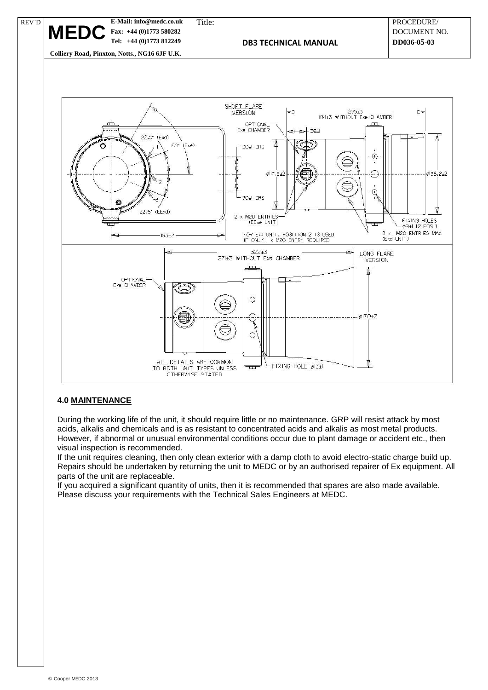

€

ALL DETAILS ARE COMMON<br>TO BOTH UNIT TYPES UNLESS<br>OTHERWISE STATED

#### **4.0 MAINTENANCE**

During the working life of the unit, it should require little or no maintenance. GRP will resist attack by most acids, alkalis and chemicals and is as resistant to concentrated acids and alkalis as most metal products. However, if abnormal or unusual environmental conditions occur due to plant damage or accident etc., then visual inspection is recommended.

 $\sqrt{ }$ 

 $\overline{1}$ 

 $L$ FIXING HOLE ø13±1

 $6170+2$ 

If the unit requires cleaning, then only clean exterior with a damp cloth to avoid electro-static charge build up. Repairs should be undertaken by returning the unit to MEDC or by an authorised repairer of Ex equipment. All parts of the unit are replaceable.

If you acquired a significant quantity of units, then it is recommended that spares are also made available. Please discuss your requirements with the Technical Sales Engineers at MEDC.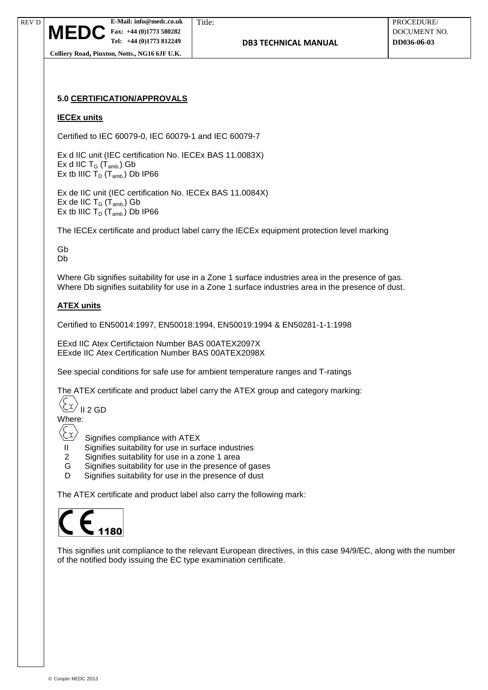

# **5.0 CERTIFICATION/APPROVALS**

#### **IECEx units**

Certified to IEC 60079-0, IEC 60079-1 and IEC 60079-7

Ex d IIC unit (IEC certification No. IECEx BAS 11.0083X) Ex d IIC  $T_G$  ( $T_{amb.}$ ) Gb Ex tb IIIC  $T_D$  ( $T_{amb.}$ ) Db IP66

Ex de IIC unit (IEC certification No. IECEx BAS 11.0084X) Ex de IIC  $T_G$  ( $T_{amb.}$ ) Gb Ex tb IIIC  $T_D$  ( $T_{amb.}$ ) Db IP66

The IECEx certificate and product label carry the IECEx equipment protection level marking

Gb Db

Where Gb signifies suitability for use in a Zone 1 surface industries area in the presence of gas. Where Db signifies suitability for use in a Zone 1 surface industries area in the presence of dust.

#### **ATEX units**

Certified to EN50014:1997, EN50018:1994, EN50019:1994 & EN50281-1-1:1998

EExd IIC Atex Certifictaion Number BAS 00ATEX2097X EExde IIC Atex Certification Number BAS 00ATEX2098X

See special conditions for safe use for ambient temperature ranges and T-ratings

The ATEX certificate and product label carry the ATEX group and category marking:

 $\chi$ II 2 GD

Where:

- Signifies compliance with ATEX
- II Signifies suitability for use in surface industries
- 2 Signifies suitability for use in a zone 1 area
- G Signifies suitability for use in the presence of gases
- D Signifies suitability for use in the presence of dust

The ATEX certificate and product label also carry the following mark:



This signifies unit compliance to the relevant European directives, in this case 94/9/EC, along with the number of the notified body issuing the EC type examination certificate.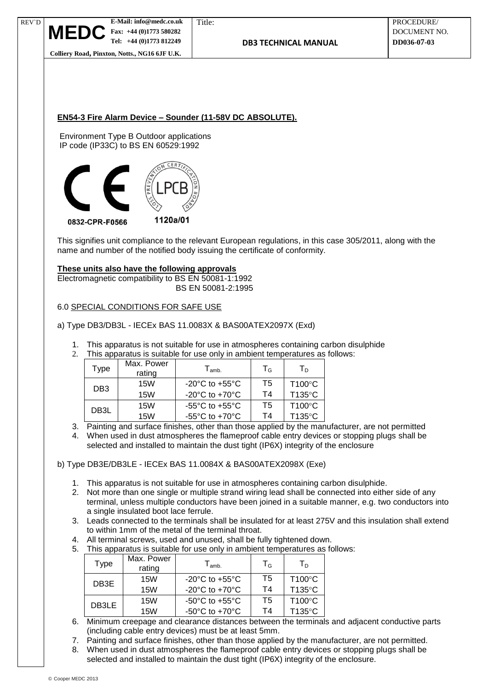



This signifies unit compliance to the relevant European regulations, in this case 305/2011, along with the name and number of the notified body issuing the certificate of conformity.

## **These units also have the following approvals**

Electromagnetic compatibility to BS EN 50081-1:1992 BS EN 50081-2:1995

## 6.0 SPECIAL CONDITIONS FOR SAFE USE

## a) Type DB3/DB3L - IECEx BAS 11.0083X & BAS00ATEX2097X (Exd)

- 1. This apparatus is not suitable for use in atmospheres containing carbon disulphide
- 2. This apparatus is suitable for use only in ambient temperatures as follows:

| Type              | Max. Power<br>rating | $T_{\mathsf{amb.}}$                  | $T_G$ | $T_{D}$          |
|-------------------|----------------------|--------------------------------------|-------|------------------|
| DB <sub>3</sub>   | 15W                  | $-20^{\circ}$ C to $+55^{\circ}$ C   | T5    | $T100^{\circ}$ C |
|                   | 15W                  | -20 $^{\circ}$ C to +70 $^{\circ}$ C | Τ4    | T135°C           |
| DB <sub>3</sub> L | 15W                  | $-55^{\circ}$ C to $+55^{\circ}$ C   | T5    | $T100^{\circ}$ C |
|                   | <b>15W</b>           | -55 $^{\circ}$ C to +70 $^{\circ}$ C | Τ4    | T135°C           |

3. Painting and surface finishes, other than those applied by the manufacturer, are not permitted

4. When used in dust atmospheres the flameproof cable entry devices or stopping plugs shall be selected and installed to maintain the dust tight (IP6X) integrity of the enclosure

b) Type DB3E/DB3LE - IECEx BAS 11.0084X & BAS00ATEX2098X (Exe)

- 1. This apparatus is not suitable for use in atmospheres containing carbon disulphide.
- 2. Not more than one single or multiple strand wiring lead shall be connected into either side of any terminal, unless multiple conductors have been joined in a suitable manner, e.g. two conductors into a single insulated boot lace ferrule.
- 3. Leads connected to the terminals shall be insulated for at least 275V and this insulation shall extend to within 1mm of the metal of the terminal throat.
- 4. All terminal screws, used and unused, shall be fully tightened down.
- 5. This apparatus is suitable for use only in ambient temperatures as follows:

| <b>Type</b>                                                                                            | Max. Power<br>rating | $T_{\mathsf{amb.}}$                  | $T_G$ | $T_{\scriptscriptstyle{\sf D}}$ |
|--------------------------------------------------------------------------------------------------------|----------------------|--------------------------------------|-------|---------------------------------|
| DB3E                                                                                                   | 15W                  | -20 $^{\circ}$ C to +55 $^{\circ}$ C | T5    | T100°C                          |
|                                                                                                        | <b>15W</b>           | -20 $^{\circ}$ C to +70 $^{\circ}$ C | Τ4    | T135°C                          |
| DB3LE                                                                                                  | 15W                  | $-50^{\circ}$ C to $+55^{\circ}$ C   | T5    | T100°C                          |
|                                                                                                        | <b>15W</b>           | -50 $^{\circ}$ C to +70 $^{\circ}$ C | T4    | T135°C                          |
| $M = 1.22$<br>المتعاوضين والمتوافق والمستحقق والمتوجب والمتقاول والمواصل والمستوات والمتواصل والمتواصل |                      |                                      |       |                                 |

- 6. Minimum creepage and clearance distances between the terminals and adjacent conductive parts (including cable entry devices) must be at least 5mm.
- 7. Painting and surface finishes, other than those applied by the manufacturer, are not permitted.
- 8. When used in dust atmospheres the flameproof cable entry devices or stopping plugs shall be selected and installed to maintain the dust tight (IP6X) integrity of the enclosure.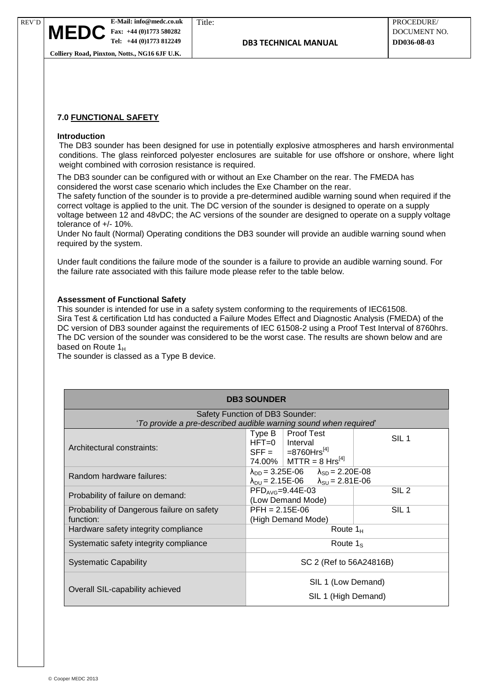## **7.0 FUNCTIONAL SAFETY**

#### **Introduction**

REV`D

The DB3 sounder has been designed for use in potentially explosive atmospheres and harsh environmental conditions. The glass reinforced polyester enclosures are suitable for use offshore or onshore, where light weight combined with corrosion resistance is required.

The DB3 sounder can be configured with or without an Exe Chamber on the rear. The FMEDA has considered the worst case scenario which includes the Exe Chamber on the rear.

The safety function of the sounder is to provide a pre-determined audible warning sound when required if the correct voltage is applied to the unit. The DC version of the sounder is designed to operate on a supply voltage between 12 and 48vDC; the AC versions of the sounder are designed to operate on a supply voltage tolerance of +/- 10%.

Under No fault (Normal) Operating conditions the DB3 sounder will provide an audible warning sound when required by the system.

Under fault conditions the failure mode of the sounder is a failure to provide an audible warning sound. For the failure rate associated with this failure mode please refer to the table below.

#### **Assessment of Functional Safety**

This sounder is intended for use in a safety system conforming to the requirements of IEC61508. Sira Test & certification Ltd has conducted a Failure Modes Effect and Diagnostic Analysis (FMEDA) of the DC version of DB3 sounder against the requirements of IEC 61508-2 using a Proof Test Interval of 8760hrs. The DC version of the sounder was considered to be the worst case. The results are shown below and are based on Route  $1_H$ 

The sounder is classed as a Type B device.

| <b>DB3 SOUNDER</b>                                               |                                                                                                                                                |                  |  |  |
|------------------------------------------------------------------|------------------------------------------------------------------------------------------------------------------------------------------------|------------------|--|--|
| Safety Function of DB3 Sounder:                                  |                                                                                                                                                |                  |  |  |
| 'To provide a pre-described audible warning sound when required' |                                                                                                                                                |                  |  |  |
| Architectural constraints:                                       | Type B<br><b>Proof Test</b><br>$HFT=0$   Interval<br>$SFF =  =8760Hrs^{[4]}$<br>74.00%   MTTR = 8 Hrs <sup>[4]</sup>                           | SIL <sub>1</sub> |  |  |
| Random hardware failures:                                        | $\lambda_{\text{DD}} = 3.25E - 06$ $\lambda_{\text{SD}} = 2.20E - 08$<br>$\lambda_{\text{DU}} = 2.15E - 06$ $\lambda_{\text{SU}} = 2.81E - 06$ |                  |  |  |
| Probability of failure on demand:                                | $\text{PFD}_{\text{AVG}} = 9.44\text{E} - 03$<br>(Low Demand Mode)                                                                             | SIL <sub>2</sub> |  |  |
| Probability of Dangerous failure on safety                       | $PFH = 2.15E-06$                                                                                                                               | SIL <sub>1</sub> |  |  |
| function:                                                        | (High Demand Mode)                                                                                                                             |                  |  |  |
| Hardware safety integrity compliance                             | Route $1_H$                                                                                                                                    |                  |  |  |
| Systematic safety integrity compliance                           | Route $1_{\rm S}$                                                                                                                              |                  |  |  |
| <b>Systematic Capability</b>                                     | SC 2 (Ref to 56A24816B)                                                                                                                        |                  |  |  |
| Overall SIL-capability achieved                                  | SIL 1 (Low Demand)                                                                                                                             |                  |  |  |
|                                                                  | SIL 1 (High Demand)                                                                                                                            |                  |  |  |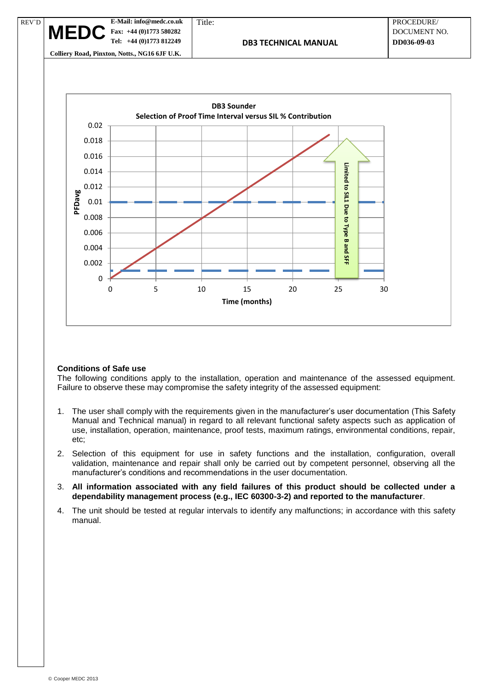**E-Mail: info@medc.co.uk** Title: PROCEDURE/  **Fax: +44 (0)1773 580282** DOCUMENT NO.  **Tel: +44 (0)1773 812249 DB3 TECHNICAL MANUAL DD036-09-03 Colliery Road, Pinxton, Notts., NG16 6JF U.K.** REV`D  $MET$ 



#### **Conditions of Safe use**

The following conditions apply to the installation, operation and maintenance of the assessed equipment. Failure to observe these may compromise the safety integrity of the assessed equipment:

- 1. The user shall comply with the requirements given in the manufacturer's user documentation (This Safety Manual and Technical manual) in regard to all relevant functional safety aspects such as application of use, installation, operation, maintenance, proof tests, maximum ratings, environmental conditions, repair, etc;
- 2. Selection of this equipment for use in safety functions and the installation, configuration, overall validation, maintenance and repair shall only be carried out by competent personnel, observing all the manufacturer's conditions and recommendations in the user documentation.
- 3. **All information associated with any field failures of this product should be collected under a dependability management process (e.g., IEC 60300-3-2) and reported to the manufacturer**.
- 4. The unit should be tested at regular intervals to identify any malfunctions; in accordance with this safety manual.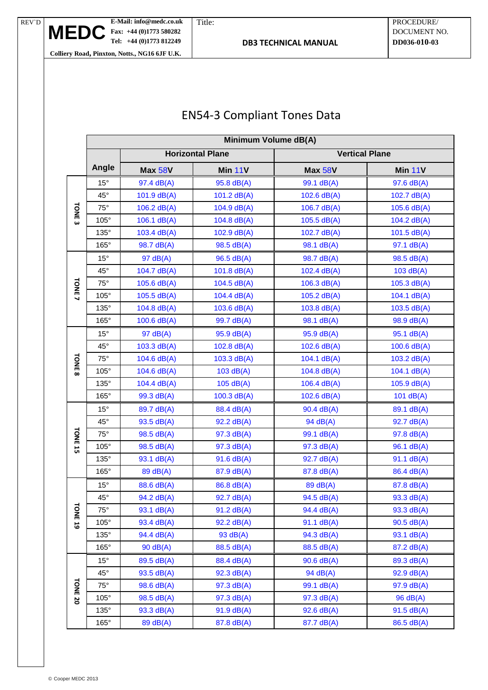**MEDC**

# EN54-3 Compliant Tones Data

|                    | Minimum Volume dB(A) |                    |                         |                       |               |  |
|--------------------|----------------------|--------------------|-------------------------|-----------------------|---------------|--|
|                    |                      |                    | <b>Horizontal Plane</b> | <b>Vertical Plane</b> |               |  |
|                    | Angle                | <b>Max 58V</b>     | Min 11V                 | Max 58V               | Min 11V       |  |
| TONE <sub>3</sub>  | $15^{\circ}$         | 97.4 dB(A)         | 95.8 dB(A)              | 99.1 dB(A)            | 97.6 dB(A)    |  |
|                    | $45^{\circ}$         | $101.9$ dB(A)      | 101.2 $dB(A)$           | $102.6$ dB(A)         | 102.7 dB(A)   |  |
|                    | $75^\circ$           | 106.2 $dB(A)$      | 104.9 dB(A)             | 106.7 $dB(A)$         | $105.6$ dB(A) |  |
|                    | $105^\circ$          | $106.1$ dB(A)      | 104.8 dB(A)             | 105.5 dB(A)           | 104.2 $dB(A)$ |  |
|                    | 135°                 | 103.4 dB(A)        | 102.9 dB(A)             | 102.7 dB(A)           | 101.5 $dB(A)$ |  |
|                    | 165°                 | 98.7 dB(A)         | 98.5 dB(A)              | 98.1 dB(A)            | 97.1 dB(A)    |  |
|                    | $15^{\circ}$         | 97 dB(A)           | 96.5 dB(A)              | 98.7 dB(A)            | 98.5 dB(A)    |  |
|                    | $45^{\circ}$         | 104.7 dB(A)        | 101.8 dB(A)             | 102.4 dB(A)           | 103 dB(A)     |  |
|                    | $75^\circ$           | 105.6 dB(A)        | 104.5 $dB(A)$           | 106.3 $dB(A)$         | 105.3 $dB(A)$ |  |
| TONE <sub>7</sub>  | $105^\circ$          | $105.5$ dB(A)      | 104.4 dB(A)             | 105.2 dB(A)           | 104.1 dB(A)   |  |
|                    | $135^\circ$          | $104.8$ dB(A)      | 103.6 $dB(A)$           | 103.8 dB(A)           | 103.5 $dB(A)$ |  |
|                    | 165°                 | $100.6$ dB(A)      | 99.7 dB(A)              | 98.1 dB(A)            | 98.9 dB(A)    |  |
|                    | $15^{\circ}$         | 97 dB(A)           | 95.9 dB(A)              | 95.9 dB(A)            | 95.1 dB(A)    |  |
|                    | $45^{\circ}$         | 103.3 dB(A)        | 102.8 dB(A)             | 102.6 dB(A)           | $100.6$ dB(A) |  |
|                    | $75^\circ$           | 104.6 dB(A)        | 103.3 dB(A)             | 104.1 dB(A)           | 103.2 dB(A)   |  |
| TONE <sub>8</sub>  | 105°                 | 104.6 dB(A)        | 103 dB(A)               | 104.8 dB(A)           | 104.1 dB(A)   |  |
|                    | $135^\circ$          | 104.4 dB(A)        | 105 dB(A)               | $106.4$ dB(A)         | $105.9$ dB(A) |  |
|                    | 165°                 | 99.3 dB(A)         | $100.3$ dB(A)           | 102.6 dB(A)           | 101 $dB(A)$   |  |
|                    | $15^{\circ}$         | 89.7 dB(A)         | 88.4 dB(A)              | 90.4 dB(A)            | 89.1 dB(A)    |  |
|                    | $45^{\circ}$         | 93.5 dB(A)         | 92.2 dB(A)              | 94 dB(A)              | 92.7 dB(A)    |  |
| TONE <sub>15</sub> | $75^\circ$           | 98.5 dB(A)         | 97.3 dB(A)              | 99.1 dB(A)            | 97.8 dB(A)    |  |
|                    | 105°                 | 98.5 dB(A)         | 97.3 dB(A)              | 97.3 dB(A)            | 96.1 dB(A)    |  |
|                    | 135°                 | 93.1 dB(A)         | 91.6 dB(A)              | 92.7 dB(A)            | 91.1 dB(A)    |  |
|                    | $165^\circ$          | 89 dB(A)           | 87.9 dB(A)              | 87.8 dB(A)            | 86.4 dB(A)    |  |
|                    | $15^{\circ}$         | 88.6 dB(A)         | 86.8 dB(A)              | 89 dB(A)              | 87.8 dB(A)    |  |
|                    | 45°                  | 94.2 dB(A)         | 92.7 dB(A)              | 94.5 dB(A)            | 93.3 dB(A)    |  |
|                    | $75^{\circ}$         | 93.1 dB(A)         | 91.2 dB(A)              | 94.4 dB(A)            | 93.3 dB(A)    |  |
| <b>FONE 19</b>     | $105^\circ$          | 93.4 dB(A)         | 92.2 dB(A)              | 91.1 dB(A)            | $90.5$ dB(A)  |  |
|                    | 135°                 | 94.4 dB(A)         | 93 dB(A)                | 94.3 dB(A)            | 93.1 dB(A)    |  |
|                    | $165^\circ$          | $90 \text{ dB}(A)$ | 88.5 dB(A)              | 88.5 dB(A)            | 87.2 dB(A)    |  |
|                    | $15^{\circ}$         | 89.5 dB(A)         | 88.4 dB(A)              | $90.6$ dB(A)          | 89.3 dB(A)    |  |
|                    | $45^{\circ}$         | 93.5 dB(A)         | 92.3 dB(A)              | 94 dB(A)              | 92.9 dB(A)    |  |
|                    | $75^\circ$           | 98.6 dB(A)         | 97.3 dB(A)              | 99.1 dB(A)            | 97.9 dB(A)    |  |
| TONE <sub>20</sub> | 105°                 | 98.5 dB(A)         | 97.3 dB(A)              | 97.3 dB(A)            | 96 dB(A)      |  |
|                    | $135^\circ$          | 93.3 dB(A)         | 91.9 dB(A)              | 92.6 dB(A)            | $91.5$ dB(A)  |  |
|                    | $165^\circ$          | 89 dB(A)           | 87.8 dB(A)              | 87.7 dB(A)            | 86.5 dB(A)    |  |